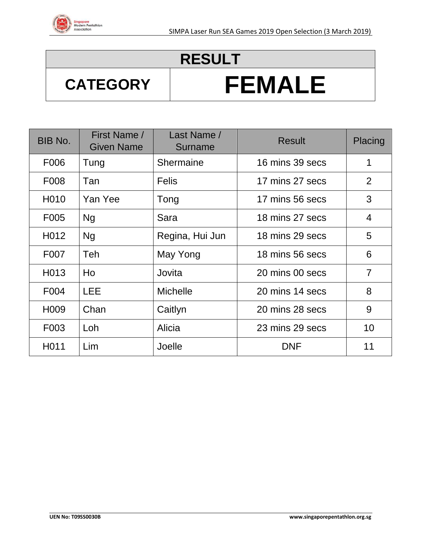

### **RESULT**

# **CATEGORY FEMALE**

| BIB No.           | First Name /<br><b>Given Name</b> | Last Name /<br>Surname | <b>Result</b>   | Placing        |
|-------------------|-----------------------------------|------------------------|-----------------|----------------|
| F006              | Tung                              | <b>Shermaine</b>       | 16 mins 39 secs | 1              |
| F008              | Tan                               | <b>Felis</b>           | 17 mins 27 secs | 2              |
| H010              | Yan Yee                           | Tong                   | 17 mins 56 secs | 3              |
| F005              | <b>Ng</b>                         | Sara                   | 18 mins 27 secs | $\overline{4}$ |
| H012              | <b>Ng</b>                         | Regina, Hui Jun        | 18 mins 29 secs | 5              |
| F007              | <b>Teh</b>                        | May Yong               | 18 mins 56 secs | 6              |
| H <sub>0</sub> 13 | Ho                                | Jovita                 | 20 mins 00 secs | $\overline{7}$ |
| F004              | <b>LEE</b>                        | <b>Michelle</b>        | 20 mins 14 secs | 8              |
| H <sub>009</sub>  | Chan                              | Caitlyn                | 20 mins 28 secs | 9              |
| F003              | Loh                               | Alicia                 | 23 mins 29 secs | 10             |
| H011              | Lim                               | Joelle                 | <b>DNF</b>      | 11             |